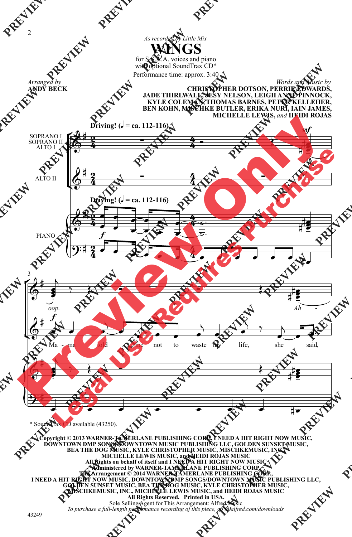*As recorded by Little Mix*



Performance time: approx. 3:40 for S.S.A.A. voices and piano with optional SoundTrax CD\*

*Arranged by* **ANDY BECK**

*Words and Music by* **CHRISTOPHER DOTSON, PERRIE EDWARDS, JADE THIRLWALL, JESY NELSON, LEIGH ANNE PINNOCK, KYLE COLEMAN, THOMAS BARNES, PETER KELLEHER, BEN KOHN, MISCHKE BUTLER, ERIKA NURI, IAIN JAMES, MICHELLE LEWIS,** *and* **HEIDI ROJAS**



Sole Selling Agent for This Arrangement: Alfred Music *To purchase a full-length performance recording of this piece, go to alfred.com/downloads*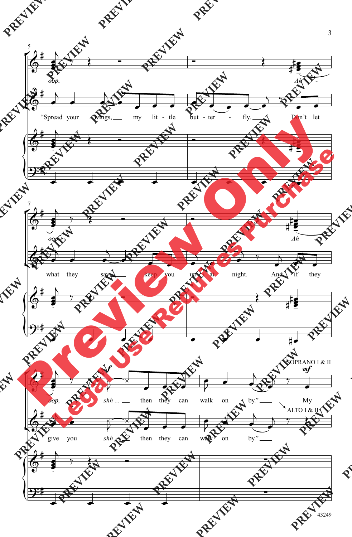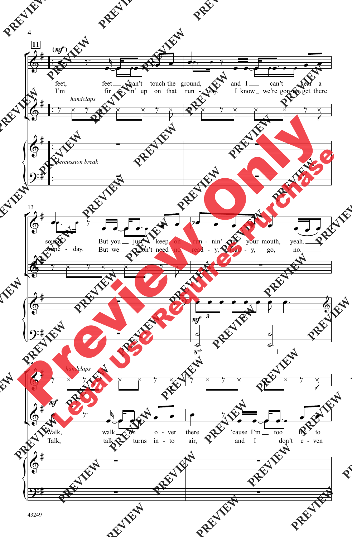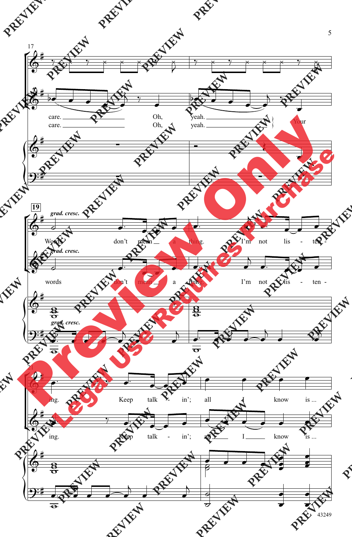

43249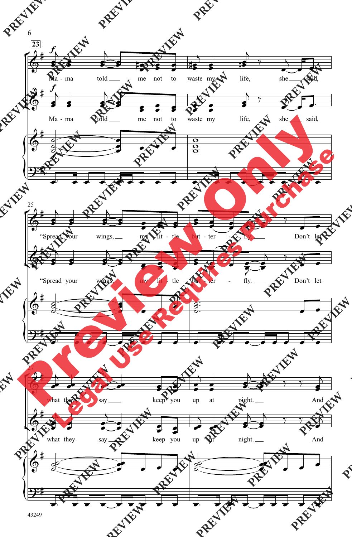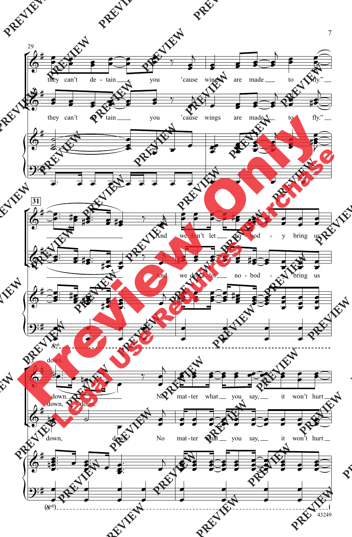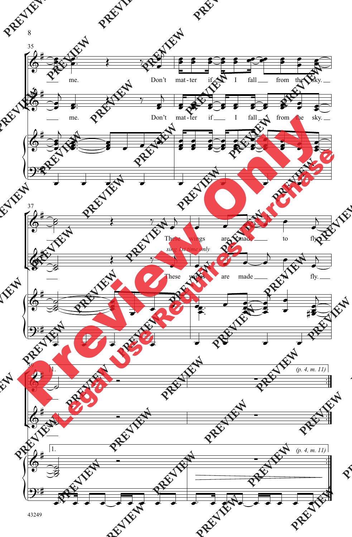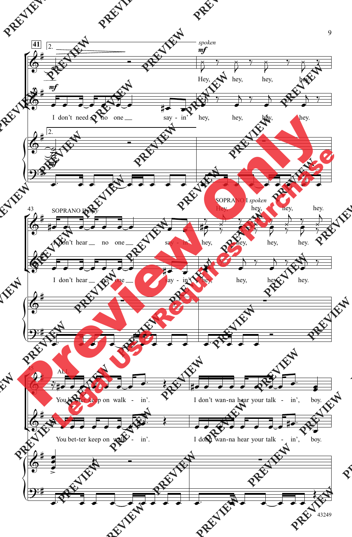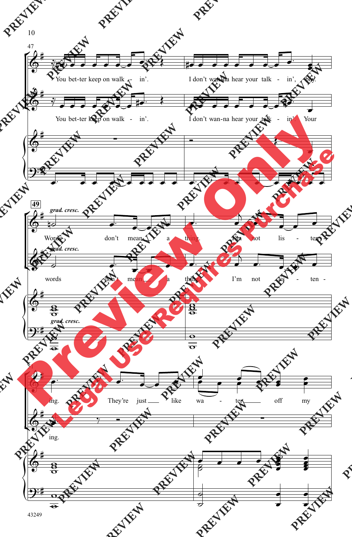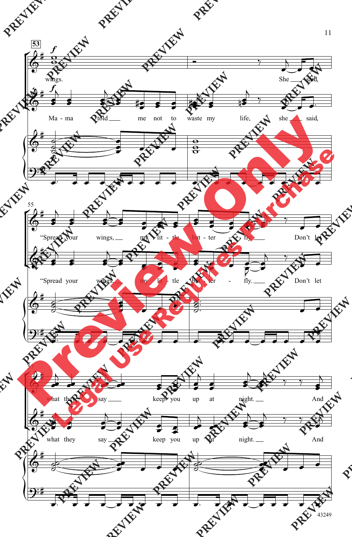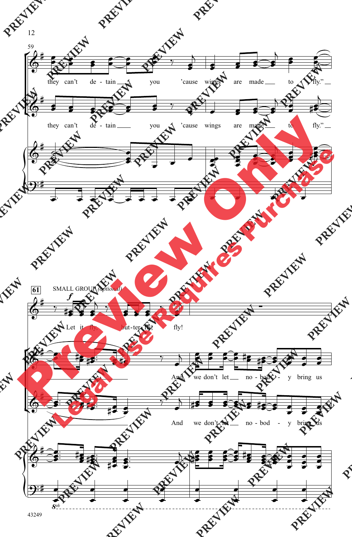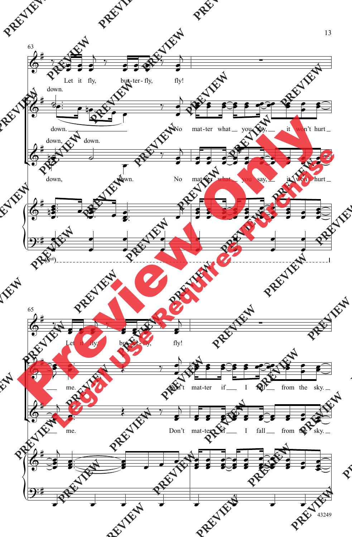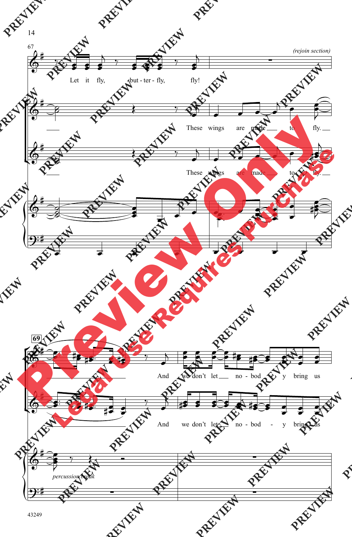